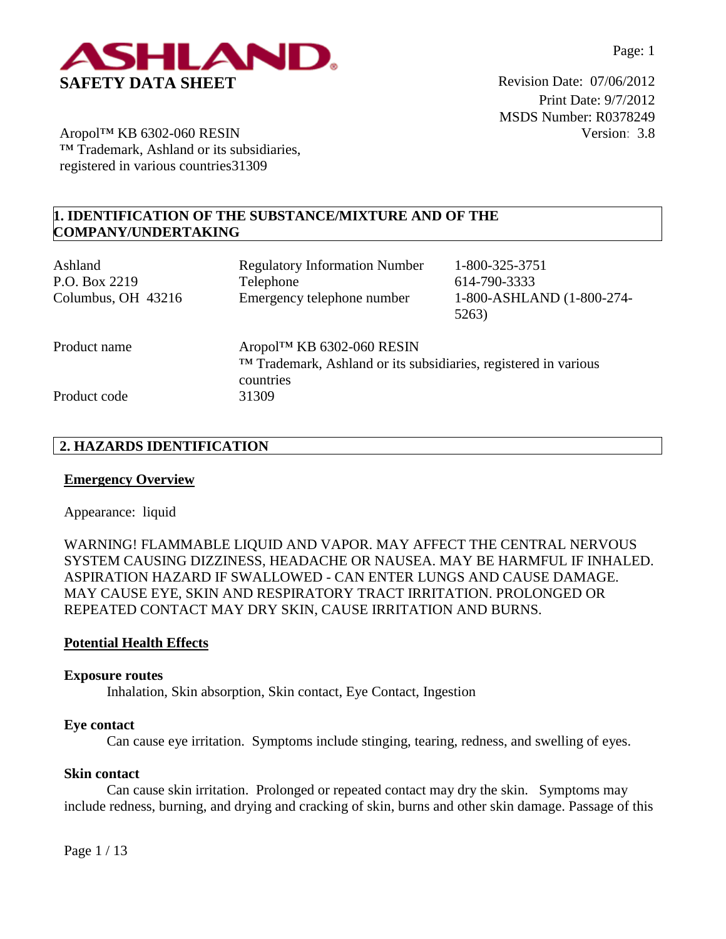

Print Date: 9/7/2012 MSDS Number: R0378249 Version: 3.8

Aropol™ KB 6302-060 RESIN ™ Trademark, Ashland or its subsidiaries, registered in various countries31309

# **1. IDENTIFICATION OF THE SUBSTANCE/MIXTURE AND OF THE COMPANY/UNDERTAKING**

| Ashland<br>P.O. Box 2219<br>Columbus, OH 43216 | <b>Regulatory Information Number</b><br>Telephone<br>Emergency telephone number                            | 1-800-325-3751<br>614-790-3333<br>1-800-ASHLAND (1-800-274-<br>5263) |
|------------------------------------------------|------------------------------------------------------------------------------------------------------------|----------------------------------------------------------------------|
| Product name                                   | Aropol™ KB 6302-060 RESIN<br>TM Trademark, Ashland or its subsidiaries, registered in various<br>countries |                                                                      |
| Product code                                   | 31309                                                                                                      |                                                                      |

# **2. HAZARDS IDENTIFICATION**

# **Emergency Overview**

Appearance:liquid

WARNING! FLAMMABLE LIQUID AND VAPOR. MAY AFFECT THE CENTRAL NERVOUS SYSTEM CAUSING DIZZINESS, HEADACHE OR NAUSEA. MAY BE HARMFUL IF INHALED. ASPIRATION HAZARD IF SWALLOWED - CAN ENTER LUNGS AND CAUSE DAMAGE. MAY CAUSE EYE, SKIN AND RESPIRATORY TRACT IRRITATION. PROLONGED OR REPEATED CONTACT MAY DRY SKIN, CAUSE IRRITATION AND BURNS.

# **Potential Health Effects**

#### **Exposure routes**

Inhalation, Skin absorption, Skin contact, Eye Contact, Ingestion

#### **Eye contact**

Can cause eye irritation. Symptoms include stinging, tearing, redness, and swelling of eyes.

#### **Skin contact**

Can cause skin irritation. Prolonged or repeated contact may dry the skin. Symptoms may include redness, burning, and drying and cracking of skin, burns and other skin damage. Passage of this

Page 1 / 13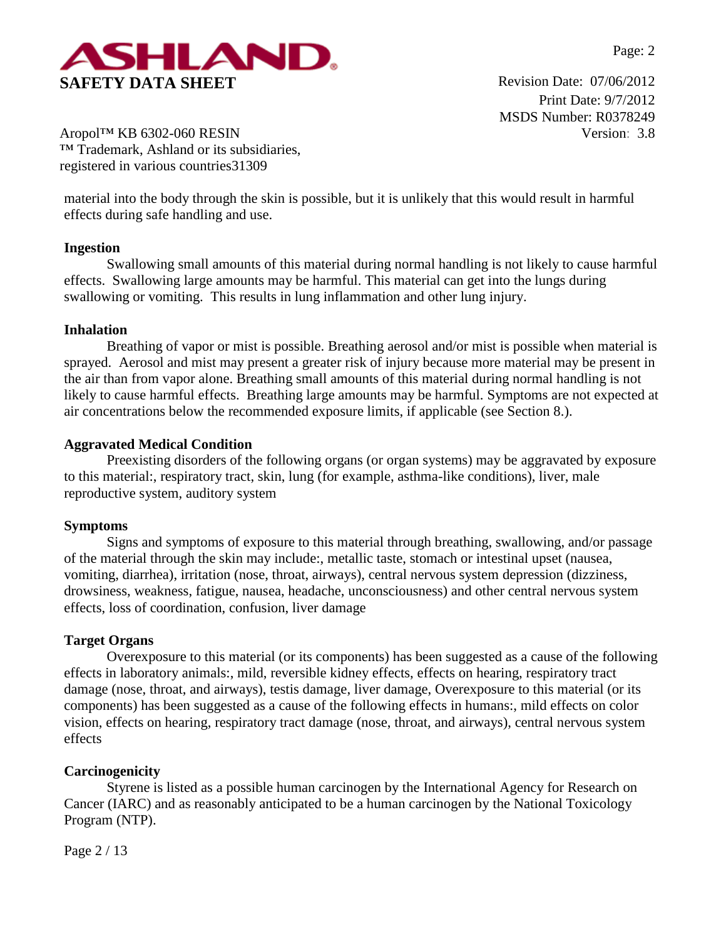

Print Date: 9/7/2012 MSDS Number: R0378249 Version: 3.8

Aropol™ KB 6302-060 RESIN ™ Trademark, Ashland or its subsidiaries, registered in various countries31309

material into the body through the skin is possible, but it is unlikely that this would result in harmful effects during safe handling and use.

# **Ingestion**

Swallowing small amounts of this material during normal handling is not likely to cause harmful effects. Swallowing large amounts may be harmful. This material can get into the lungs during swallowing or vomiting. This results in lung inflammation and other lung injury.

# **Inhalation**

Breathing of vapor or mist is possible. Breathing aerosol and/or mist is possible when material is sprayed. Aerosol and mist may present a greater risk of injury because more material may be present in the air than from vapor alone. Breathing small amounts of this material during normal handling is not likely to cause harmful effects. Breathing large amounts may be harmful. Symptoms are not expected at air concentrations below the recommended exposure limits, if applicable (see Section 8.).

# **Aggravated Medical Condition**

Preexisting disorders of the following organs (or organ systems) may be aggravated by exposure to this material:, respiratory tract, skin, lung (for example, asthma-like conditions), liver, male reproductive system, auditory system

# **Symptoms**

Signs and symptoms of exposure to this material through breathing, swallowing, and/or passage of the material through the skin may include:, metallic taste, stomach or intestinal upset (nausea, vomiting, diarrhea), irritation (nose, throat, airways), central nervous system depression (dizziness, drowsiness, weakness, fatigue, nausea, headache, unconsciousness) and other central nervous system effects, loss of coordination, confusion, liver damage

# **Target Organs**

Overexposure to this material (or its components) has been suggested as a cause of the following effects in laboratory animals:, mild, reversible kidney effects, effects on hearing, respiratory tract damage (nose, throat, and airways), testis damage, liver damage, Overexposure to this material (or its components) has been suggested as a cause of the following effects in humans:, mild effects on color vision, effects on hearing, respiratory tract damage (nose, throat, and airways), central nervous system effects

# **Carcinogenicity**

Styrene is listed as a possible human carcinogen by the International Agency for Research on Cancer (IARC) and as reasonably anticipated to be a human carcinogen by the National Toxicology Program (NTP).

Page 2 / 13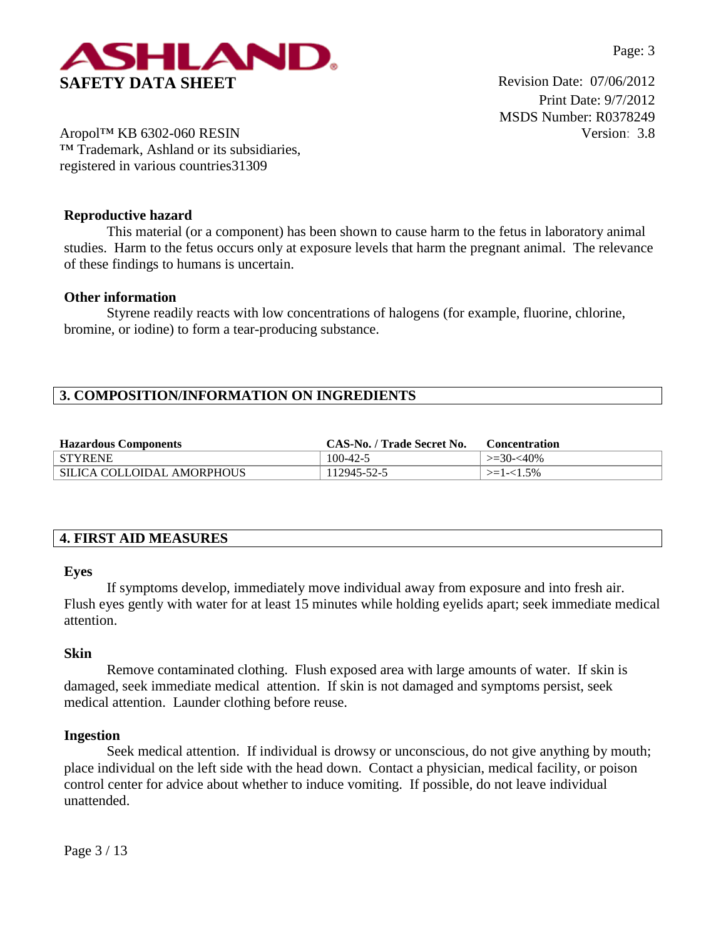

Print Date: 9/7/2012 MSDS Number: R0378249 Version: 3.8

Aropol™ KB 6302-060 RESIN ™ Trademark, Ashland or its subsidiaries, registered in various countries31309

# **Reproductive hazard**

This material (or a component) has been shown to cause harm to the fetus in laboratory animal studies. Harm to the fetus occurs only at exposure levels that harm the pregnant animal. The relevance of these findings to humans is uncertain.

## **Other information**

Styrene readily reacts with low concentrations of halogens (for example, fluorine, chlorine, bromine, or iodine) to form a tear-producing substance.

# **3. COMPOSITION/INFORMATION ON INGREDIENTS**

| <b>Hazardous Components</b> | CAS-No. / Trade Secret No. | <b>Concentration</b> |
|-----------------------------|----------------------------|----------------------|
| <b>STYRENE</b>              | $100 - 42 - 5$             | $\geq 30 - 40\%$     |
| SILICA COLLOIDAL AMORPHOUS  | 112945-52-5                | $>=1-1.5\%$          |

# **4. FIRST AID MEASURES**

#### **Eyes**

If symptoms develop, immediately move individual away from exposure and into fresh air. Flush eyes gently with water for at least 15 minutes while holding eyelids apart; seek immediate medical attention.

#### **Skin**

Remove contaminated clothing. Flush exposed area with large amounts of water. If skin is damaged, seek immediate medical attention. If skin is not damaged and symptoms persist, seek medical attention. Launder clothing before reuse.

#### **Ingestion**

Seek medical attention. If individual is drowsy or unconscious, do not give anything by mouth; place individual on the left side with the head down. Contact a physician, medical facility, or poison control center for advice about whether to induce vomiting. If possible, do not leave individual unattended.

Page 3 / 13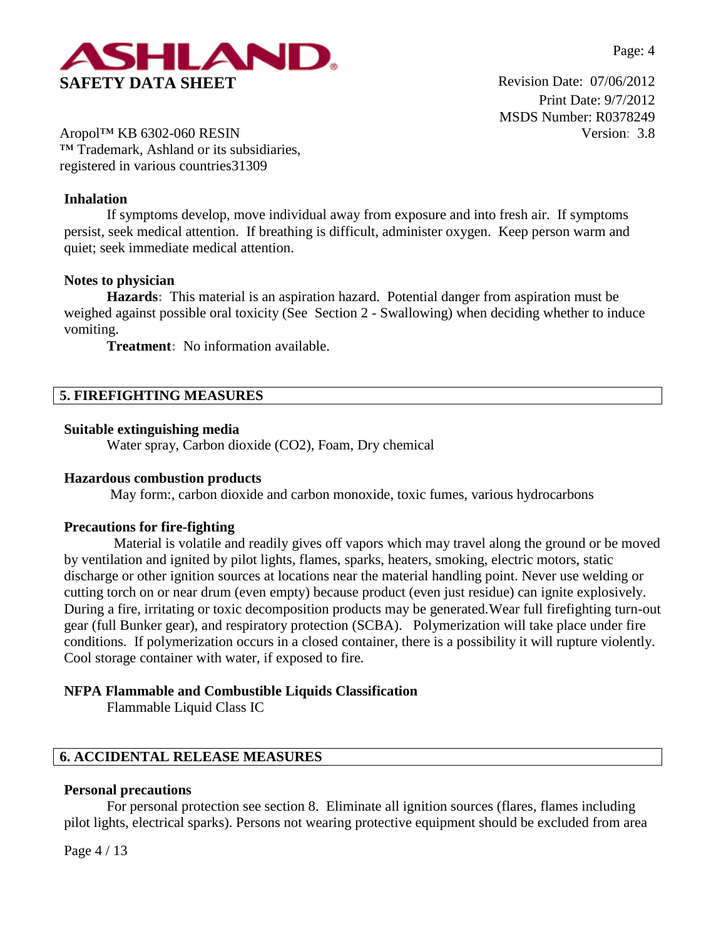

Print Date: 9/7/2012 MSDS Number: R0378249 Version: 3.8

Aropol™ KB 6302-060 RESIN ™ Trademark, Ashland or its subsidiaries, registered in various countries31309

## **Inhalation**

If symptoms develop, move individual away from exposure and into fresh air. If symptoms persist, seek medical attention. If breathing is difficult, administer oxygen. Keep person warm and quiet; seek immediate medical attention.

#### **Notes to physician**

**Hazards:** This material is an aspiration hazard. Potential danger from aspiration must be weighed against possible oral toxicity (See Section 2 - Swallowing) when deciding whether to induce vomiting.

**Treatment:** No information available.

# **5. FIREFIGHTING MEASURES**

#### **Suitable extinguishing media**

Water spray, Carbon dioxide (CO2), Foam, Dry chemical

#### **Hazardous combustion products**

May form:, carbon dioxide and carbon monoxide, toxic fumes, various hydrocarbons

#### **Precautions for fire-fighting**

 Material is volatile and readily gives off vapors which may travel along the ground or be moved by ventilation and ignited by pilot lights, flames, sparks, heaters, smoking, electric motors, static discharge or other ignition sources at locations near the material handling point. Never use welding or cutting torch on or near drum (even empty) because product (even just residue) can ignite explosively. During a fire, irritating or toxic decomposition products may be generated.Wear full firefighting turn-out gear (full Bunker gear), and respiratory protection (SCBA). Polymerization will take place under fire conditions. If polymerization occurs in a closed container, there is a possibility it will rupture violently. Cool storage container with water, if exposed to fire.

## **NFPA Flammable and Combustible Liquids Classification**

Flammable Liquid Class IC

# **6. ACCIDENTAL RELEASE MEASURES**

#### **Personal precautions**

For personal protection see section 8.Eliminate all ignition sources (flares, flames including pilot lights, electrical sparks). Persons not wearing protective equipment should be excluded from area

Page 4 / 13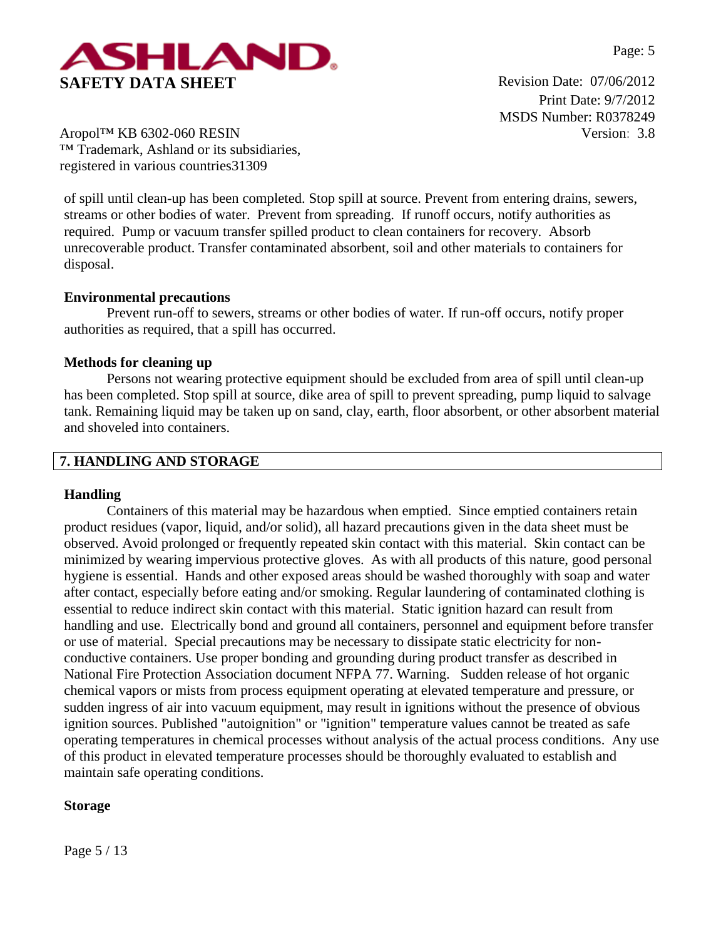

Print Date: 9/7/2012 MSDS Number: R0378249 Version: 3.8

Aropol™ KB 6302-060 RESIN ™ Trademark, Ashland or its subsidiaries, registered in various countries31309

of spill until clean-up has been completed. Stop spill at source. Prevent from entering drains, sewers, streams or other bodies of water. Prevent from spreading. If runoff occurs, notify authorities as required. Pump or vacuum transfer spilled product to clean containers for recovery. Absorb unrecoverable product. Transfer contaminated absorbent, soil and other materials to containers for disposal.

## **Environmental precautions**

Prevent run-off to sewers, streams or other bodies of water. If run-off occurs, notify proper authorities as required, that a spill has occurred.

## **Methods for cleaning up**

Persons not wearing protective equipment should be excluded from area of spill until clean-up has been completed. Stop spill at source, dike area of spill to prevent spreading, pump liquid to salvage tank. Remaining liquid may be taken up on sand, clay, earth, floor absorbent, or other absorbent material and shoveled into containers.

## **7. HANDLING AND STORAGE**

#### **Handling**

Containers of this material may be hazardous when emptied. Since emptied containers retain product residues (vapor, liquid, and/or solid), all hazard precautions given in the data sheet must be observed. Avoid prolonged or frequently repeated skin contact with this material. Skin contact can be minimized by wearing impervious protective gloves. As with all products of this nature, good personal hygiene is essential. Hands and other exposed areas should be washed thoroughly with soap and water after contact, especially before eating and/or smoking. Regular laundering of contaminated clothing is essential to reduce indirect skin contact with this material. Static ignition hazard can result from handling and use. Electrically bond and ground all containers, personnel and equipment before transfer or use of material. Special precautions may be necessary to dissipate static electricity for nonconductive containers. Use proper bonding and grounding during product transfer as described in National Fire Protection Association document NFPA 77. Warning. Sudden release of hot organic chemical vapors or mists from process equipment operating at elevated temperature and pressure, or sudden ingress of air into vacuum equipment, may result in ignitions without the presence of obvious ignition sources. Published "autoignition" or "ignition" temperature values cannot be treated as safe operating temperatures in chemical processes without analysis of the actual process conditions. Any use of this product in elevated temperature processes should be thoroughly evaluated to establish and maintain safe operating conditions.

# **Storage**

Page 5 / 13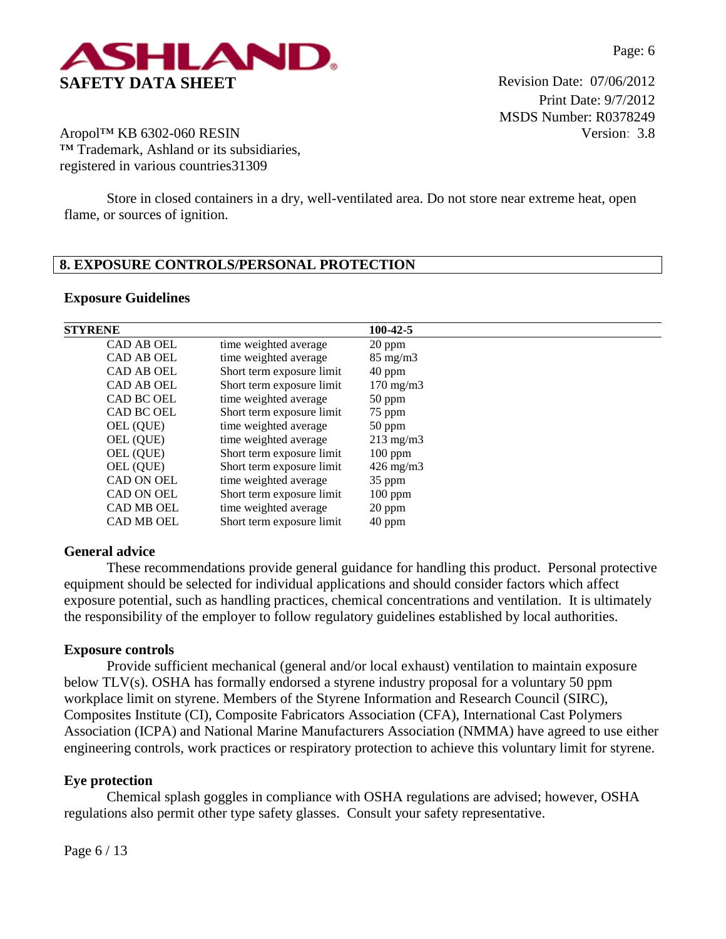

Print Date: 9/7/2012 MSDS Number: R0378249 Version: 3.8

Aropol™ KB 6302-060 RESIN ™ Trademark, Ashland or its subsidiaries, registered in various countries31309

Store in closed containers in a dry, well-ventilated area. Do not store near extreme heat, open flame, or sources of ignition.

# **8. EXPOSURE CONTROLS/PERSONAL PROTECTION**

## **Exposure Guidelines**

| <b>STYRENE</b>    |                           | 100-42-5           |
|-------------------|---------------------------|--------------------|
| <b>CAD AB OEL</b> | time weighted average     | 20 ppm             |
| <b>CAD AB OEL</b> | time weighted average     | $85 \text{ mg/m}$  |
| <b>CAD AB OEL</b> | Short term exposure limit | $40$ ppm           |
| <b>CAD AB OEL</b> | Short term exposure limit | $170 \text{ mg/m}$ |
| CAD BC OEL        | time weighted average     | $50$ ppm           |
| CAD BC OEL        | Short term exposure limit | 75 ppm             |
| OEL (QUE)         | time weighted average     | 50 ppm             |
| OEL (QUE)         | time weighted average     | $213 \text{ mg/m}$ |
| OEL (QUE)         | Short term exposure limit | $100$ ppm          |
| OEL (QUE)         | Short term exposure limit | $426 \text{ mg/m}$ |
| CAD ON OEL        | time weighted average     | $35$ ppm           |
| CAD ON OEL        | Short term exposure limit | $100$ ppm          |
| <b>CAD MB OEL</b> | time weighted average     | 20 ppm             |
| <b>CAD MB OEL</b> | Short term exposure limit | 40 ppm             |

#### **General advice**

These recommendations provide general guidance for handling this product. Personal protective equipment should be selected for individual applications and should consider factors which affect exposure potential, such as handling practices, chemical concentrations and ventilation. It is ultimately the responsibility of the employer to follow regulatory guidelines established by local authorities.

#### **Exposure controls**

Provide sufficient mechanical (general and/or local exhaust) ventilation to maintain exposure below TLV(s). OSHA has formally endorsed a styrene industry proposal for a voluntary 50 ppm workplace limit on styrene. Members of the Styrene Information and Research Council (SIRC), Composites Institute (CI), Composite Fabricators Association (CFA), International Cast Polymers Association (ICPA) and National Marine Manufacturers Association (NMMA) have agreed to use either engineering controls, work practices or respiratory protection to achieve this voluntary limit for styrene.

#### **Eye protection**

Chemical splash goggles in compliance with OSHA regulations are advised; however, OSHA regulations also permit other type safety glasses. Consult your safety representative.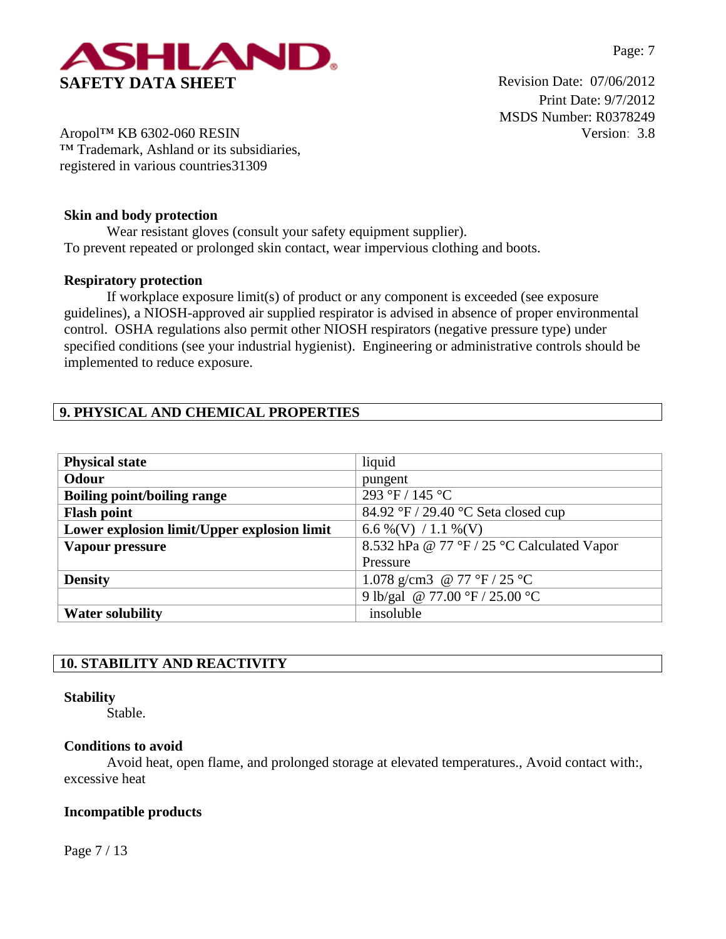

Print Date: 9/7/2012 MSDS Number: R0378249 Version: 3.8

Aropol™ KB 6302-060 RESIN ™ Trademark, Ashland or its subsidiaries, registered in various countries31309

# **Skin and body protection**

Wear resistant gloves (consult your safety equipment supplier). To prevent repeated or prolonged skin contact, wear impervious clothing and boots.

# **Respiratory protection**

If workplace exposure limit(s) of product or any component is exceeded (see exposure guidelines), a NIOSH-approved air supplied respirator is advised in absence of proper environmental control. OSHA regulations also permit other NIOSH respirators (negative pressure type) under specified conditions (see your industrial hygienist). Engineering or administrative controls should be implemented to reduce exposure.

# **9. PHYSICAL AND CHEMICAL PROPERTIES**

| <b>Physical state</b>                       | liquid                                     |
|---------------------------------------------|--------------------------------------------|
| Odour                                       | pungent                                    |
| <b>Boiling point/boiling range</b>          | 293 °F / 145 °C                            |
| <b>Flash point</b>                          | 84.92 °F / 29.40 °C Seta closed cup        |
| Lower explosion limit/Upper explosion limit | 6.6 % (V) / 1.1 % (V)                      |
| Vapour pressure                             | 8.532 hPa @ 77 °F / 25 °C Calculated Vapor |
|                                             | Pressure                                   |
| <b>Density</b>                              | 1.078 g/cm3 @ 77 °F / 25 °C                |
|                                             | 9 lb/gal @ 77.00 °F / 25.00 °C             |
| <b>Water solubility</b>                     | insoluble                                  |

# **10. STABILITY AND REACTIVITY**

# **Stability**

Stable.

# **Conditions to avoid**

Avoid heat, open flame, and prolonged storage at elevated temperatures., Avoid contact with:, excessive heat

# **Incompatible products**

Page 7 / 13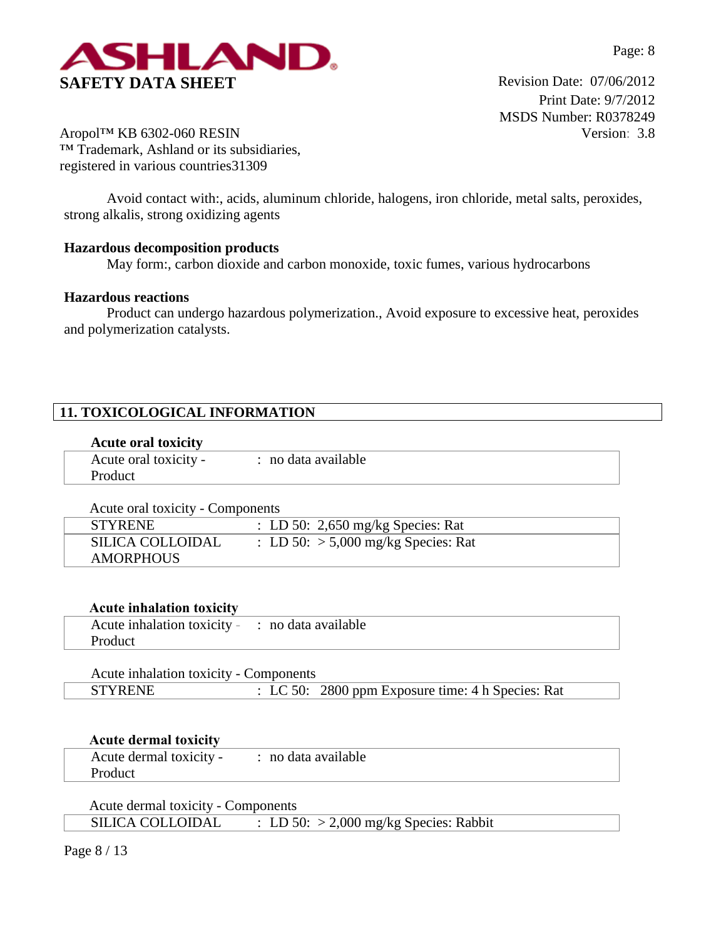

Print Date: 9/7/2012 MSDS Number: R0378249 Version: 3.8

Aropol™ KB 6302-060 RESIN ™ Trademark, Ashland or its subsidiaries, registered in various countries31309

Avoid contact with:, acids, aluminum chloride, halogens, iron chloride, metal salts, peroxides, strong alkalis, strong oxidizing agents

# **Hazardous decomposition products**

May form:, carbon dioxide and carbon monoxide, toxic fumes, various hydrocarbons

#### **Hazardous reactions**

Product can undergo hazardous polymerization., Avoid exposure to excessive heat, peroxides and polymerization catalysts.

# **11. TOXICOLOGICAL INFORMATION**

#### **Acute oral toxicity**

| Acute oral toxicity - | · no data available |  |
|-----------------------|---------------------|--|
| Product               |                     |  |

| Acute oral toxicity - Components |                                       |
|----------------------------------|---------------------------------------|
| <b>STYRENE</b>                   | : LD 50: 2,650 mg/kg Species: Rat     |
| <b>SILICA COLLOIDAL</b>          | : LD 50: $> 5,000$ mg/kg Species: Rat |
| AMORPHOUS                        |                                       |

## **Acute inhalation toxicity**

| Acute inhalation toxicity - : no data available |  |
|-------------------------------------------------|--|
| Product                                         |  |

| Acute inhalation toxicity - Components |                                                   |
|----------------------------------------|---------------------------------------------------|
| <b>STYRENE</b>                         | : LC 50: 2800 ppm Exposure time: 4 h Species: Rat |

#### **Acute dermal toxicity**

| Acute dermal toxicity - | : no data available |
|-------------------------|---------------------|
| Product                 |                     |
|                         |                     |

Acute dermal toxicity - Components SILICA COLLOIDAL : LD 50: > 2,000 mg/kg Species: Rabbit

Page 8 / 13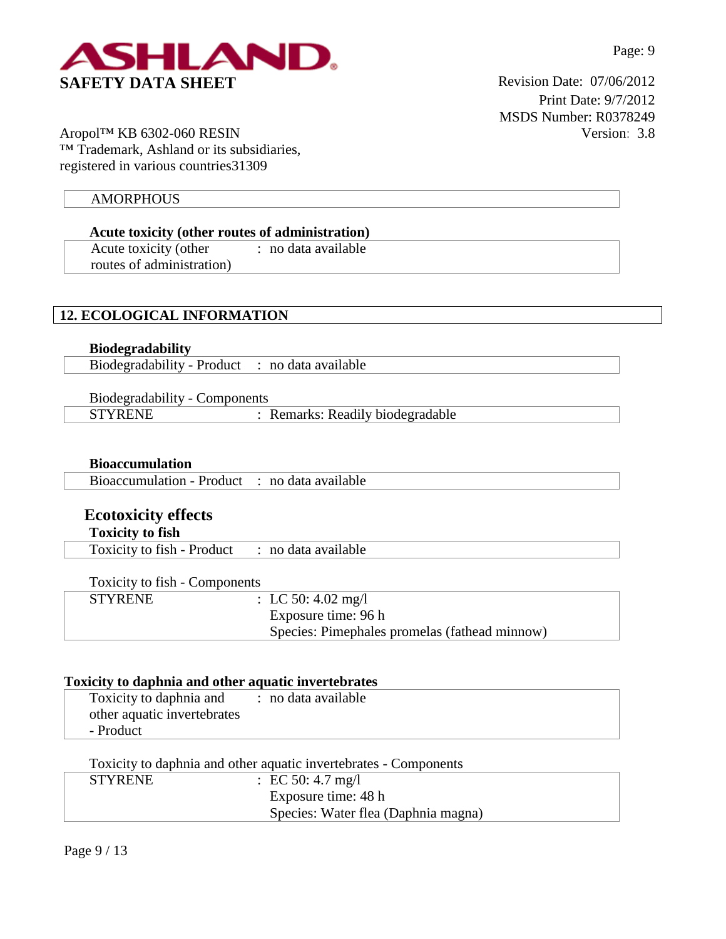

Print Date: 9/7/2012 MSDS Number: R0378249 Version: 3.8

Aropol™ KB 6302-060 RESIN ™ Trademark, Ashland or its subsidiaries, registered in various countries31309

## **AMORPHOUS**

**Acute toxicity (other routes of administration)** Acute toxicity (other routes of administration) : no data available

# **12. ECOLOGICAL INFORMATION**

**Biodegradability** Biodegradability - Product : no data available

Biodegradability - Components STYRENE : Remarks: Readily biodegradable

**Bioaccumulation**

Bioaccumulation - Product : no data available

# **Ecotoxicity effects**

**Toxicity to fish**

Toxicity to fish - Product : no data available

Toxicity to fish - Components

| <b>STYRENE</b> | : LC 50: 4.02 mg/l                            |
|----------------|-----------------------------------------------|
|                | Exposure time: 96 h                           |
|                | Species: Pimephales promelas (fathead minnow) |
|                |                                               |

#### **Toxicity to daphnia and other aquatic invertebrates**

| Toxicity to daphnia and     | : no data available |
|-----------------------------|---------------------|
| other aquatic invertebrates |                     |
| - Product                   |                     |

Toxicity to daphnia and other aquatic invertebrates - Components

| <b>STYRENE</b> | : EC 50: 4.7 mg/l                   |  |
|----------------|-------------------------------------|--|
|                | Exposure time: 48 h                 |  |
|                | Species: Water flea (Daphnia magna) |  |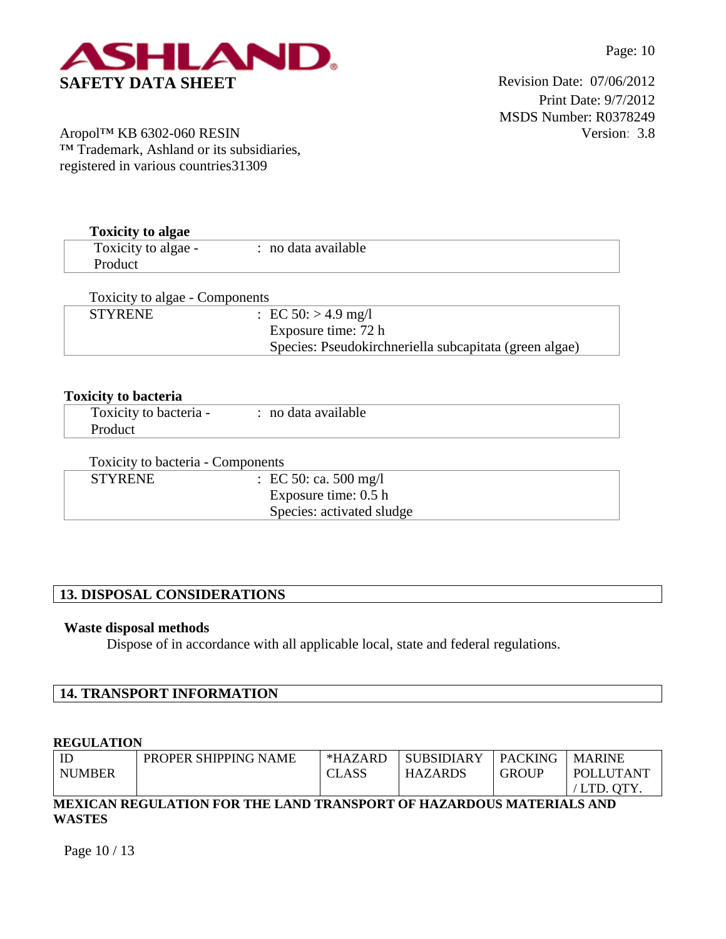



Print Date: 9/7/2012 MSDS Number: R0378249 Version: 3.8

Aropol™ KB 6302-060 RESIN ™ Trademark, Ashland or its subsidiaries, registered in various countries31309

**Toxicity to algae**

| Toxicity to algae              |                          |  |
|--------------------------------|--------------------------|--|
| Toxicity to algae -            | : no data available      |  |
| Product                        |                          |  |
| Toxicity to algae - Components |                          |  |
|                                |                          |  |
| <b>STYRENE</b>                 | : EC $50$ : $> 4.9$ mg/l |  |

Species: Pseudokirchneriella subcapitata (green algae)

| <b>Toxicity to bacteria</b> |                     |  |
|-----------------------------|---------------------|--|
| Toxicity to bacteria -      | : no data available |  |
| Product                     |                     |  |

| Toxicity to bacteria - Components |                           |  |
|-----------------------------------|---------------------------|--|
| <b>STYRENE</b>                    | : EC 50: ca. 500 mg/l     |  |
|                                   | Exposure time: $0.5 h$    |  |
|                                   | Species: activated sludge |  |

# **13. DISPOSAL CONSIDERATIONS**

#### **Waste disposal methods**

Dispose of in accordance with all applicable local, state and federal regulations.

# **14. TRANSPORT INFORMATION**

#### **REGULATION**

| ID                                                                   | PROPER SHIPPING NAME | $*HAZARD$    | <b>SUBSIDIARY</b> | <b>PACKING</b> | <b>MARINE</b>    |
|----------------------------------------------------------------------|----------------------|--------------|-------------------|----------------|------------------|
| <b>NUMBER</b>                                                        |                      | <b>CLASS</b> | <b>HAZARDS</b>    | <b>GROUP</b>   | <b>POLLUTANT</b> |
|                                                                      |                      |              |                   |                | /LTD. OTY.       |
| MEXICAN REGULATION FOR THE LAND TRANSPORT OF HAZARDOUS MATERIALS AND |                      |              |                   |                |                  |

# **WASTES**

Page 10 / 13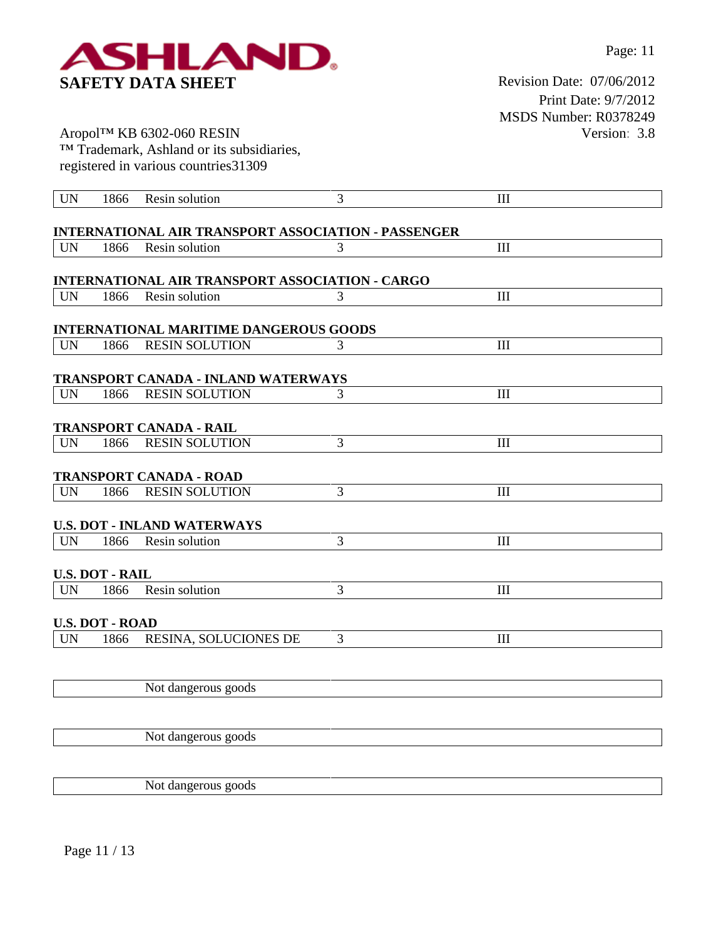

Print Date: 9/7/2012 MSDS Number: R0378249 Version: 3.8

Aropol™ KB 6302-060 RESIN ™ Trademark, Ashland or its subsidiaries, registered in various countries31309

| <b>UN</b> | 1866                   | Resin solution                                                               | 3 | III                         |
|-----------|------------------------|------------------------------------------------------------------------------|---|-----------------------------|
|           |                        |                                                                              |   |                             |
| <b>UN</b> | 1866                   | <b>INTERNATIONAL AIR TRANSPORT ASSOCIATION - PASSENGER</b><br>Resin solution | 3 | $\mathop{\rm III}\nolimits$ |
|           |                        |                                                                              |   |                             |
|           |                        | <b>INTERNATIONAL AIR TRANSPORT ASSOCIATION - CARGO</b>                       |   |                             |
| <b>UN</b> | 1866                   | Resin solution                                                               | 3 | III                         |
|           |                        |                                                                              |   |                             |
| <b>UN</b> | 1866                   | <b>INTERNATIONAL MARITIME DANGEROUS GOODS</b><br><b>RESIN SOLUTION</b>       | 3 | $\mathop{\rm III}\nolimits$ |
|           |                        |                                                                              |   |                             |
|           |                        | TRANSPORT CANADA - INLAND WATERWAYS                                          |   |                             |
| <b>UN</b> | 1866                   | <b>RESIN SOLUTION</b>                                                        | 3 | III                         |
|           |                        |                                                                              |   |                             |
|           |                        | <b>TRANSPORT CANADA - RAIL</b>                                               |   |                             |
| <b>UN</b> | 1866                   | <b>RESIN SOLUTION</b>                                                        | 3 | $\mathop{\rm III}\nolimits$ |
|           |                        |                                                                              |   |                             |
|           |                        | <b>TRANSPORT CANADA - ROAD</b>                                               |   |                             |
| <b>UN</b> | 1866                   | <b>RESIN SOLUTION</b>                                                        | 3 | III                         |
|           |                        | <b>U.S. DOT - INLAND WATERWAYS</b>                                           |   |                             |
| <b>UN</b> | 1866                   | Resin solution                                                               | 3 | $\rm III$                   |
|           |                        |                                                                              |   |                             |
|           | <b>U.S. DOT - RAIL</b> |                                                                              |   |                             |
| <b>UN</b> | 1866                   | Resin solution                                                               | 3 | $\mathop{\rm III}\nolimits$ |
|           |                        |                                                                              |   |                             |
|           | <b>U.S. DOT - ROAD</b> |                                                                              |   |                             |
| <b>UN</b> | 1866                   | RESINA, SOLUCIONES DE                                                        | 3 | $\mathbf{III}$              |
|           |                        |                                                                              |   |                             |
|           |                        |                                                                              |   |                             |
|           |                        | Not dangerous goods                                                          |   |                             |
|           |                        |                                                                              |   |                             |
|           |                        | Not dangerous goods                                                          |   |                             |
|           |                        |                                                                              |   |                             |
|           |                        |                                                                              |   |                             |

Not dangerous goods

Page 11 / 13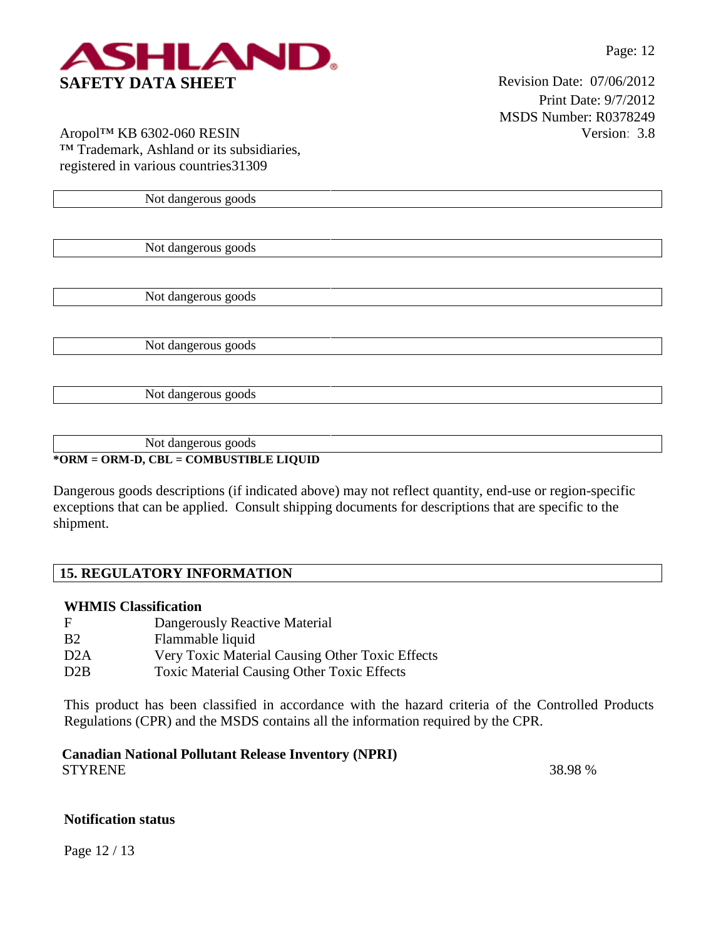

Print Date: 9/7/2012 MSDS Number: R0378249 Version: 3.8

Aropol™ KB 6302-060 RESIN ™ Trademark, Ashland or its subsidiaries, registered in various countries31309

Not dangerous goods

Not dangerous goods

Not dangerous goods

Not dangerous goods

Not dangerous goods

Not dangerous goods **\*ORM = ORM-D, CBL = COMBUSTIBLE LIQUID**

Dangerous goods descriptions (if indicated above) may not reflect quantity, end-use or region-specific exceptions that can be applied. Consult shipping documents for descriptions that are specific to the shipment.

# **15. REGULATORY INFORMATION**

# **WHMIS Classification**

| $\mathbf F$      | Dangerously Reactive Material                     |
|------------------|---------------------------------------------------|
| <b>B2</b>        | Flammable liquid                                  |
| D2A              | Very Toxic Material Causing Other Toxic Effects   |
| D <sub>2</sub> B | <b>Toxic Material Causing Other Toxic Effects</b> |

This product has been classified in accordance with the hazard criteria of the Controlled Products Regulations (CPR) and the MSDS contains all the information required by the CPR.

**Canadian National Pollutant Release Inventory (NPRI)** STYRENE 38.98 %

#### **Notification status**

Page 12 / 13